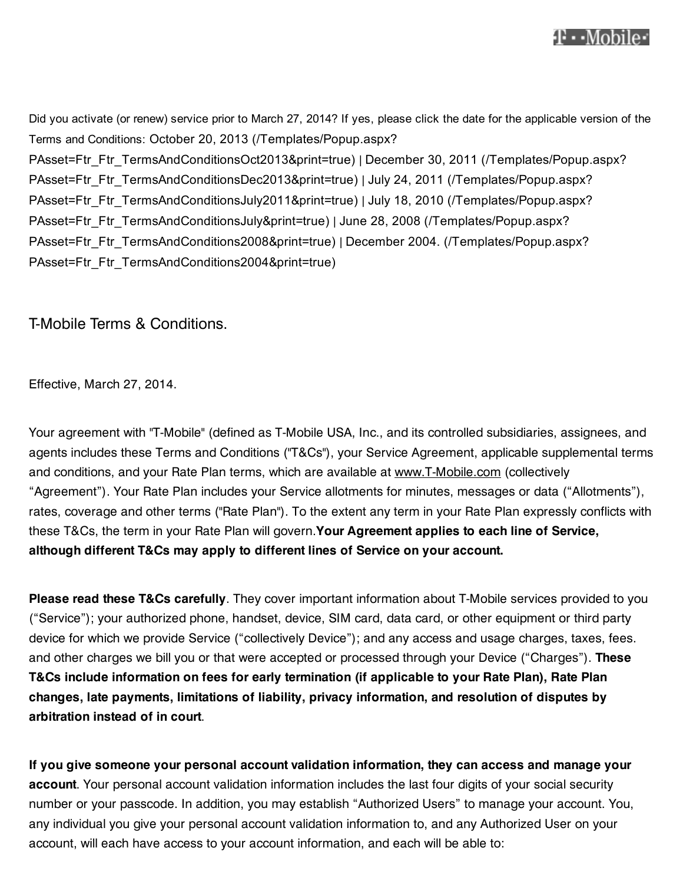

Did you activate (or renew) service prior to March 27, 2014? If yes, please click the date for the applicable version of the Terms and Conditions: October 20, 2013 (/Templates/Popup.aspx? PAsset=Ftr\_Ftr\_TermsAndConditionsOct2013&print=true) | December 30, 2011 (/Templates/Popup.aspx? PAsset=Ftr\_Ftr\_TermsAndConditionsDec2013&print=true) | July 24, 2011 (/Templates/Popup.aspx? PAsset=Ftr\_Ftr\_TermsAndConditionsJuly2011&print=true) | July 18, 2010 (/Templates/Popup.aspx? PAsset=Ftr\_Ftr\_TermsAndConditionsJuly&print=true) | June 28, 2008 (/Templates/Popup.aspx? PAsset=Ftr\_Ftr\_TermsAndConditions2008&print=true) | December 2004. (/Templates/Popup.aspx? PAsset=Ftr\_Ftr\_TermsAndConditions2004&print=true)

T-Mobile Terms & Conditions.

Effective, March 27, 2014.

Your agreement with "T-Mobile" (defined as T-Mobile USA, Inc., and its controlled subsidiaries, assignees, and agents includes these Terms and Conditions ("T&Cs"), your Service Agreement, applicable supplemental terms and conditions, and your Rate Plan terms, which are available at www.T-Mobile.com (collectively "Agreement"). Your Rate Plan includes your Service allotments for minutes, messages or data ("Allotments"), rates, coverage and other terms ("Rate Plan"). To the extent any term in your Rate Plan expressly conflicts with these T&Cs, the term in your Rate Plan will govern.**Your Agreement applies to each line of Service, although different T&Cs may apply to different lines of Service on your account.**

**Please read these T&Cs carefully**. They cover important information about T-Mobile services provided to you ("Service"); your authorized phone, handset, device, SIM card, data card, or other equipment or third party device for which we provide Service ("collectively Device"); and any access and usage charges, taxes, fees. and other charges we bill you or that were accepted or processed through your Device ("Charges"). **These T&Cs include information on fees for early termination (if applicable to your Rate Plan), Rate Plan changes, late payments, limitations of liability, privacy information, and resolution of disputes by arbitration instead of in court**.

**If you give someone your personal account validation information, they can access and manage your account**. Your personal account validation information includes the last four digits of your social security number or your passcode. In addition, you may establish "Authorized Users" to manage your account. You, any individual you give your personal account validation information to, and any Authorized User on your account, will each have access to your account information, and each will be able to: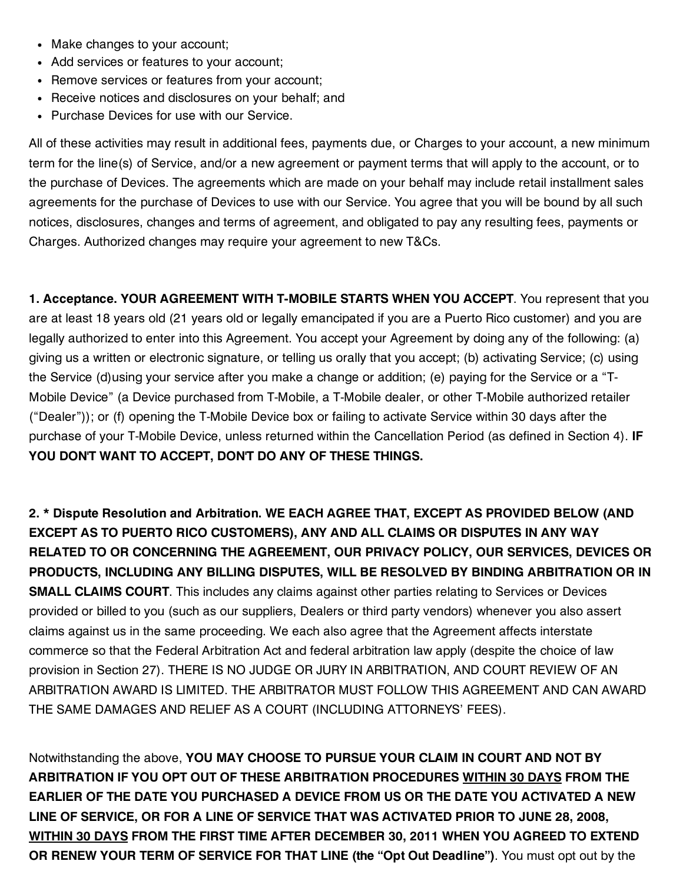- Make changes to your account;
- Add services or features to your account;
- Remove services or features from your account;
- Receive notices and disclosures on your behalf; and
- Purchase Devices for use with our Service.

All of these activities may result in additional fees, payments due, or Charges to your account, a new minimum term for the line(s) of Service, and/or a new agreement or payment terms that will apply to the account, or to the purchase of Devices. The agreements which are made on your behalf may include retail installment sales agreements for the purchase of Devices to use with our Service. You agree that you will be bound by all such notices, disclosures, changes and terms of agreement, and obligated to pay any resulting fees, payments or Charges. Authorized changes may require your agreement to new T&Cs.

**1. Acceptance. YOUR AGREEMENT WITH T-MOBILE STARTS WHEN YOU ACCEPT**. You represent that you are at least 18 years old (21 years old or legally emancipated if you are a Puerto Rico customer) and you are legally authorized to enter into this Agreement. You accept your Agreement by doing any of the following: (a) giving us a written or electronic signature, or telling us orally that you accept; (b) activating Service; (c) using the Service (d)using your service after you make a change or addition; (e) paying for the Service or a "T-Mobile Device" (a Device purchased from T-Mobile, a T-Mobile dealer, or other T-Mobile authorized retailer ("Dealer")); or (f) opening the T-Mobile Device box or failing to activate Service within 30 days after the purchase of your T-Mobile Device, unless returned within the Cancellation Period (as defined in Section 4). **IF YOU DON'T WANT TO ACCEPT, DON'T DO ANY OF THESE THINGS.**

**2. \* Dispute Resolution and Arbitration. WE EACH AGREE THAT, EXCEPT AS PROVIDED BELOW (AND EXCEPT AS TO PUERTO RICO CUSTOMERS), ANY AND ALL CLAIMS OR DISPUTES IN ANY WAY RELATED TO OR CONCERNING THE AGREEMENT, OUR PRIVACY POLICY, OUR SERVICES, DEVICES OR PRODUCTS, INCLUDING ANY BILLING DISPUTES, WILL BE RESOLVED BY BINDING ARBITRATION OR IN SMALL CLAIMS COURT**. This includes any claims against other parties relating to Services or Devices provided or billed to you (such as our suppliers, Dealers or third party vendors) whenever you also assert claims against us in the same proceeding. We each also agree that the Agreement affects interstate commerce so that the Federal Arbitration Act and federal arbitration law apply (despite the choice of law provision in Section 27). THERE IS NO JUDGE OR JURY IN ARBITRATION, AND COURT REVIEW OF AN ARBITRATION AWARD IS LIMITED. THE ARBITRATOR MUST FOLLOW THIS AGREEMENT AND CAN AWARD THE SAME DAMAGES AND RELIEF AS A COURT (INCLUDING ATTORNEYS' FEES).

Notwithstanding the above, **YOU MAY CHOOSE TO PURSUE YOUR CLAIM IN COURT AND NOT BY ARBITRATION IF YOU OPT OUT OF THESE ARBITRATION PROCEDURES WITHIN 30 DAYS FROM THE EARLIER OF THE DATE YOU PURCHASED A DEVICE FROM US OR THE DATE YOU ACTIVATED A NEW LINE OF SERVICE, OR FOR A LINE OF SERVICE THAT WAS ACTIVATED PRIOR TO JUNE 28, 2008, WITHIN 30 DAYS FROM THE FIRST TIME AFTER DECEMBER 30, 2011 WHEN YOU AGREED TO EXTEND OR RENEW YOUR TERM OF SERVICE FOR THAT LINE (the "Opt Out Deadline")**. You must opt out by the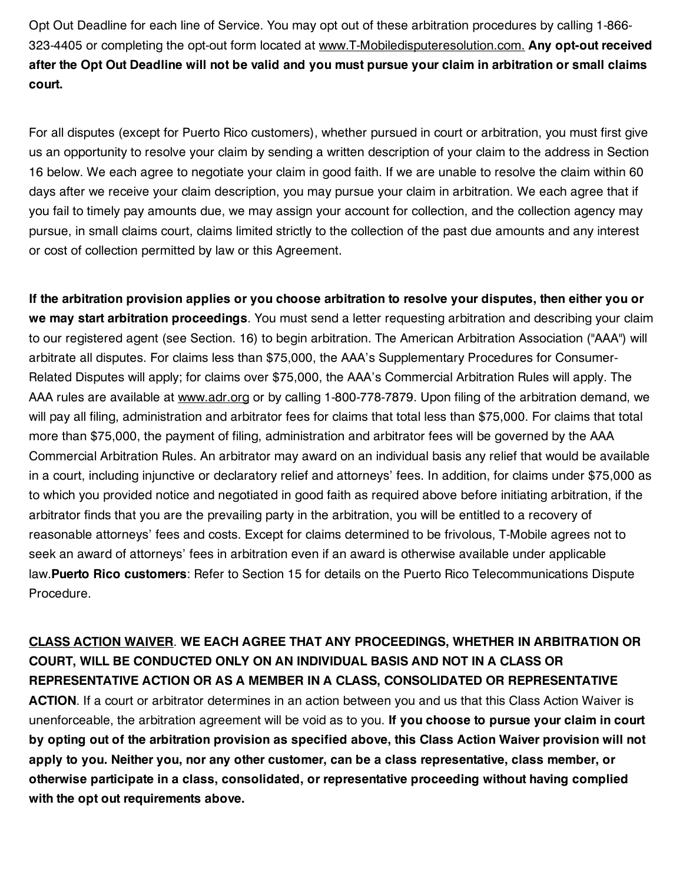Opt Out Deadline for each line of Service. You may opt out of these arbitration procedures by calling 1-866- 323-4405 or completing the opt-out form located at www.T-Mobiledisputeresolution.com. **Any opt-out received** after the Opt Out Deadline will not be valid and you must pursue your claim in arbitration or small claims **court.**

For all disputes (except for Puerto Rico customers), whether pursued in court or arbitration, you must first give us an opportunity to resolve your claim by sending a written description of your claim to the address in Section 16 below. We each agree to negotiate your claim in good faith. If we are unable to resolve the claim within 60 days after we receive your claim description, you may pursue your claim in arbitration. We each agree that if you fail to timely pay amounts due, we may assign your account for collection, and the collection agency may pursue, in small claims court, claims limited strictly to the collection of the past due amounts and any interest or cost of collection permitted by law or this Agreement.

If the arbitration provision applies or you choose arbitration to resolve your disputes, then either you or **we may start arbitration proceedings**. You must send a letter requesting arbitration and describing your claim to our registered agent (see Section. 16) to begin arbitration. The American Arbitration Association ("AAA") will arbitrate all disputes. For claims less than \$75,000, the AAA's Supplementary Procedures for Consumer-Related Disputes will apply; for claims over \$75,000, the AAA's Commercial Arbitration Rules will apply. The AAA rules are available at www.adr.org or by calling 1-800-778-7879. Upon filing of the arbitration demand, we will pay all filing, administration and arbitrator fees for claims that total less than \$75,000. For claims that total more than \$75,000, the payment of filing, administration and arbitrator fees will be governed by the AAA Commercial Arbitration Rules. An arbitrator may award on an individual basis any relief that would be available in a court, including injunctive or declaratory relief and attorneys' fees. In addition, for claims under \$75,000 as to which you provided notice and negotiated in good faith as required above before initiating arbitration, if the arbitrator finds that you are the prevailing party in the arbitration, you will be entitled to a recovery of reasonable attorneys' fees and costs. Except for claims determined to be frivolous, T-Mobile agrees not to seek an award of attorneys' fees in arbitration even if an award is otherwise available under applicable law.**Puerto Rico customers**: Refer to Section 15 for details on the Puerto Rico Telecommunications Dispute Procedure.

**CLASS ACTION WAIVER**. **WE EACH AGREE THAT ANY PROCEEDINGS, WHETHER IN ARBITRATION OR COURT, WILL BE CONDUCTED ONLY ON AN INDIVIDUAL BASIS AND NOT IN A CLASS OR REPRESENTATIVE ACTION OR AS A MEMBER IN A CLASS, CONSOLIDATED OR REPRESENTATIVE**

**ACTION**. If a court or arbitrator determines in an action between you and us that this Class Action Waiver is unenforceable, the arbitration agreement will be void as to you. **If you choose to pursue your claim in court** by opting out of the arbitration provision as specified above, this Class Action Waiver provision will not **apply to you. Neither you, nor any other customer, can be a class representative, class member, or otherwise participate in a class, consolidated, or representative proceeding without having complied with the opt out requirements above.**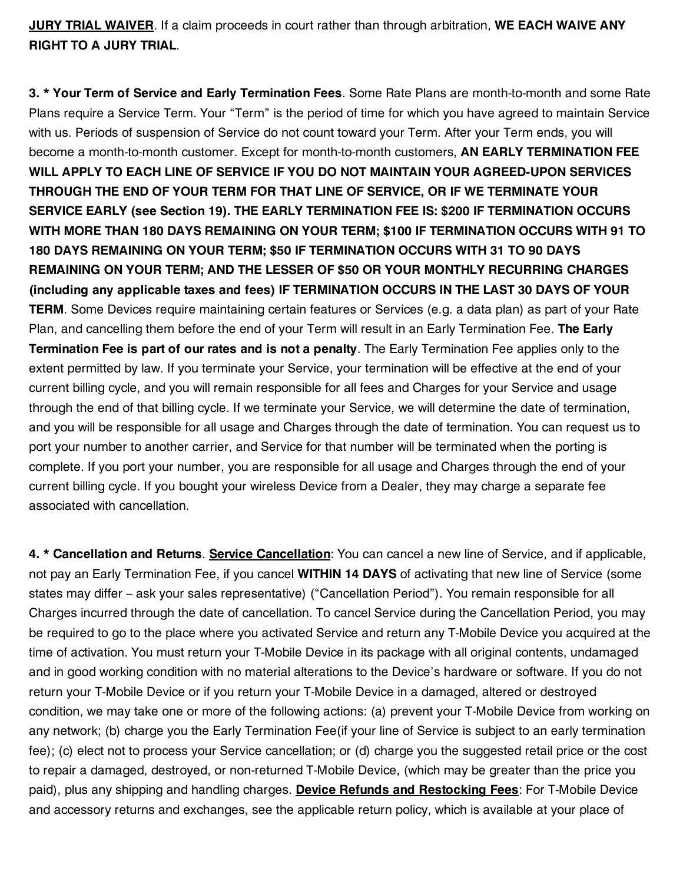**JURY TRIAL WAIVER**. If a claim proceeds in court rather than through arbitration, **WE EACH WAIVE ANY RIGHT TO A JURY TRIAL**.

**3. \* Your Term of Service and Early Termination Fees**. Some Rate Plans are month-to-month and some Rate Plans require a Service Term. Your "Term" is the period of time for which you have agreed to maintain Service with us. Periods of suspension of Service do not count toward your Term. After your Term ends, you will become a month-to-month customer. Except for month-to-month customers, **AN EARLY TERMINATION FEE WILL APPLY TO EACH LINE OF SERVICE IF YOU DO NOT MAINTAIN YOUR AGREED-UPON SERVICES THROUGH THE END OF YOUR TERM FOR THAT LINE OF SERVICE, OR IF WE TERMINATE YOUR SERVICE EARLY (see Section 19). THE EARLY TERMINATION FEE IS: \$200 IF TERMINATION OCCURS WITH MORE THAN 180 DAYS REMAINING ON YOUR TERM; \$100 IF TERMINATION OCCURS WITH 91 TO 180 DAYS REMAINING ON YOUR TERM; \$50 IF TERMINATION OCCURS WITH 31 TO 90 DAYS REMAINING ON YOUR TERM; AND THE LESSER OF \$50 OR YOUR MONTHLY RECURRING CHARGES (including any applicable taxes and fees) IF TERMINATION OCCURS IN THE LAST 30 DAYS OF YOUR TERM**. Some Devices require maintaining certain features or Services (e.g. a data plan) as part of your Rate Plan, and cancelling them before the end of your Term will result in an Early Termination Fee. **The Early Termination Fee is part of our rates and is not a penalty**. The Early Termination Fee applies only to the extent permitted by law. If you terminate your Service, your termination will be effective at the end of your current billing cycle, and you will remain responsible for all fees and Charges for your Service and usage through the end of that billing cycle. If we terminate your Service, we will determine the date of termination, and you will be responsible for all usage and Charges through the date of termination. You can request us to port your number to another carrier, and Service for that number will be terminated when the porting is complete. If you port your number, you are responsible for all usage and Charges through the end of your current billing cycle. If you bought your wireless Device from a Dealer, they may charge a separate fee associated with cancellation.

**4. \* Cancellation and Returns**. **Service Cancellation**: You can cancel a new line of Service, and if applicable, not pay an Early Termination Fee, if you cancel **WITHIN 14 DAYS** of activating that new line of Service (some states may differ – ask your sales representative) ("Cancellation Period"). You remain responsible for all Charges incurred through the date of cancellation. To cancel Service during the Cancellation Period, you may be required to go to the place where you activated Service and return any T-Mobile Device you acquired at the time of activation. You must return your T-Mobile Device in its package with all original contents, undamaged and in good working condition with no material alterations to the Device's hardware or software. If you do not return your T-Mobile Device or if you return your T-Mobile Device in a damaged, altered or destroyed condition, we may take one or more of the following actions: (a) prevent your T-Mobile Device from working on any network; (b) charge you the Early Termination Fee(if your line of Service is subject to an early termination fee); (c) elect not to process your Service cancellation; or (d) charge you the suggested retail price or the cost to repair a damaged, destroyed, or non-returned T-Mobile Device, (which may be greater than the price you paid), plus any shipping and handling charges. **Device Refunds and Restocking Fees**: For T-Mobile Device and accessory returns and exchanges, see the applicable return policy, which is available at your place of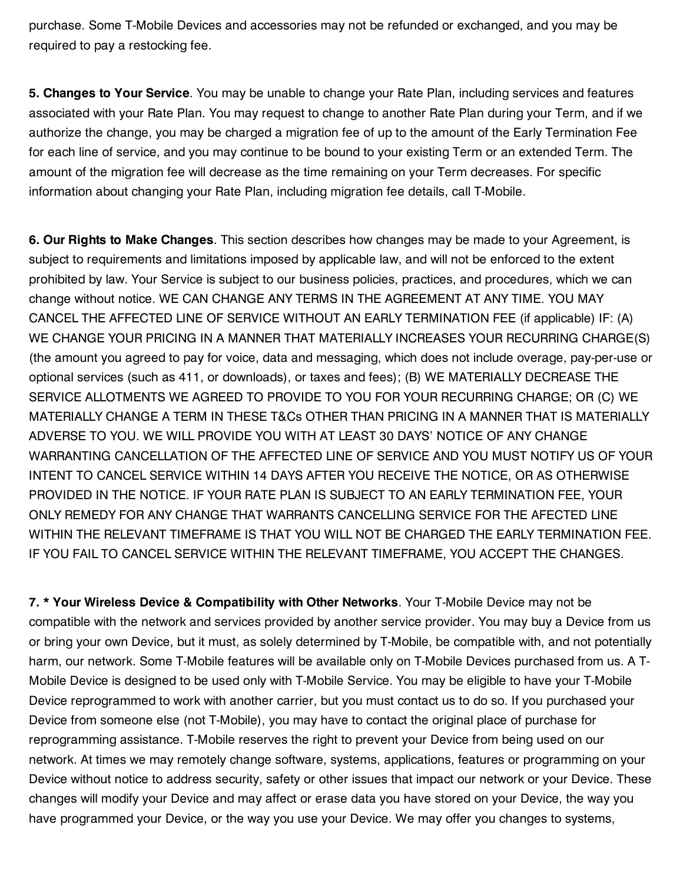purchase. Some T-Mobile Devices and accessories may not be refunded or exchanged, and you may be required to pay a restocking fee.

**5. Changes to Your Service**. You may be unable to change your Rate Plan, including services and features associated with your Rate Plan. You may request to change to another Rate Plan during your Term, and if we authorize the change, you may be charged a migration fee of up to the amount of the Early Termination Fee for each line of service, and you may continue to be bound to your existing Term or an extended Term. The amount of the migration fee will decrease as the time remaining on your Term decreases. For specific information about changing your Rate Plan, including migration fee details, call T-Mobile.

**6. Our Rights to Make Changes**. This section describes how changes may be made to your Agreement, is subject to requirements and limitations imposed by applicable law, and will not be enforced to the extent prohibited by law. Your Service is subject to our business policies, practices, and procedures, which we can change without notice. WE CAN CHANGE ANY TERMS IN THE AGREEMENT AT ANY TIME. YOU MAY CANCEL THE AFFECTED LINE OF SERVICE WITHOUT AN EARLY TERMINATION FEE (if applicable) IF: (A) WE CHANGE YOUR PRICING IN A MANNER THAT MATERIALLY INCREASES YOUR RECURRING CHARGE(S) (the amount you agreed to pay for voice, data and messaging, which does not include overage, pay-per-use or optional services (such as 411, or downloads), or taxes and fees); (B) WE MATERIALLY DECREASE THE SERVICE ALLOTMENTS WE AGREED TO PROVIDE TO YOU FOR YOUR RECURRING CHARGE; OR (C) WE MATERIALLY CHANGE A TERM IN THESE T&Cs OTHER THAN PRICING IN A MANNER THAT IS MATERIALLY ADVERSE TO YOU. WE WILL PROVIDE YOU WITH AT LEAST 30 DAYS' NOTICE OF ANY CHANGE WARRANTING CANCELLATION OF THE AFFECTED LINE OF SERVICE AND YOU MUST NOTIFY US OF YOUR INTENT TO CANCEL SERVICE WITHIN 14 DAYS AFTER YOU RECEIVE THE NOTICE, OR AS OTHERWISE PROVIDED IN THE NOTICE. IF YOUR RATE PLAN IS SUBJECT TO AN EARLY TERMINATION FEE, YOUR ONLY REMEDY FOR ANY CHANGE THAT WARRANTS CANCELLING SERVICE FOR THE AFECTED LINE WITHIN THE RELEVANT TIMEFRAME IS THAT YOU WILL NOT BE CHARGED THE EARLY TERMINATION FEE. IF YOU FAIL TO CANCEL SERVICE WITHIN THE RELEVANT TIMEFRAME, YOU ACCEPT THE CHANGES.

**7. \* Your Wireless Device & Compatibility with Other Networks**. Your T-Mobile Device may not be compatible with the network and services provided by another service provider. You may buy a Device from us or bring your own Device, but it must, as solely determined by T-Mobile, be compatible with, and not potentially harm, our network. Some T-Mobile features will be available only on T-Mobile Devices purchased from us. A T-Mobile Device is designed to be used only with T-Mobile Service. You may be eligible to have your T-Mobile Device reprogrammed to work with another carrier, but you must contact us to do so. If you purchased your Device from someone else (not T-Mobile), you may have to contact the original place of purchase for reprogramming assistance. T-Mobile reserves the right to prevent your Device from being used on our network. At times we may remotely change software, systems, applications, features or programming on your Device without notice to address security, safety or other issues that impact our network or your Device. These changes will modify your Device and may affect or erase data you have stored on your Device, the way you have programmed your Device, or the way you use your Device. We may offer you changes to systems,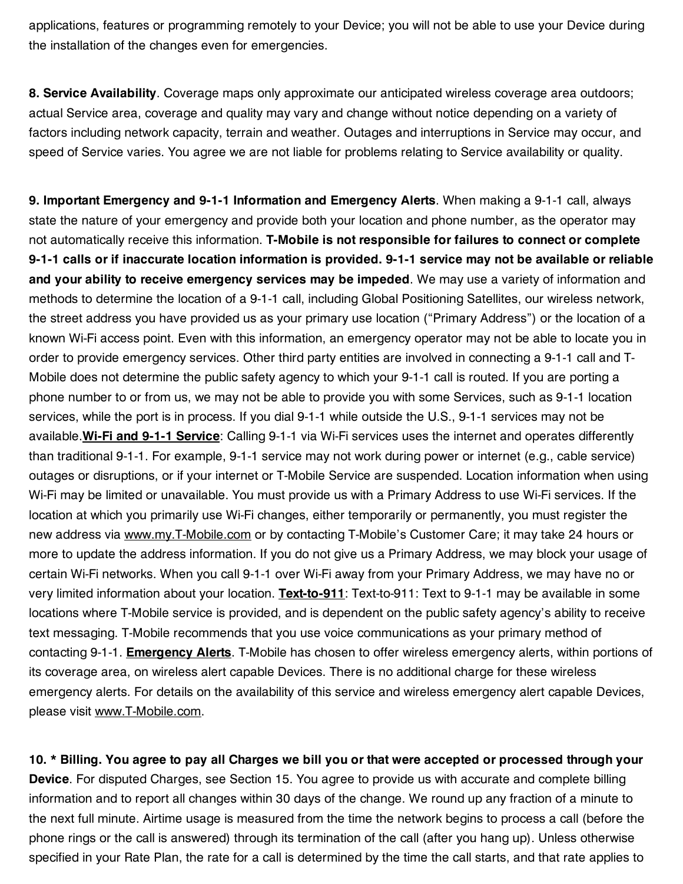applications, features or programming remotely to your Device; you will not be able to use your Device during the installation of the changes even for emergencies.

**8. Service Availability**. Coverage maps only approximate our anticipated wireless coverage area outdoors; actual Service area, coverage and quality may vary and change without notice depending on a variety of factors including network capacity, terrain and weather. Outages and interruptions in Service may occur, and speed of Service varies. You agree we are not liable for problems relating to Service availability or quality.

**9. Important Emergency and 9-1-1 Information and Emergency Alerts**. When making a 9-1-1 call, always state the nature of your emergency and provide both your location and phone number, as the operator may not automatically receive this information. **T-Mobile is not responsible for failures to connect or complete** 9-1-1 calls or if inaccurate location information is provided. 9-1-1 service may not be available or reliable **and your ability to receive emergency services may be impeded**. We may use a variety of information and methods to determine the location of a 9-1-1 call, including Global Positioning Satellites, our wireless network, the street address you have provided us as your primary use location ("Primary Address") or the location of a known Wi-Fi access point. Even with this information, an emergency operator may not be able to locate you in order to provide emergency services. Other third party entities are involved in connecting a 9-1-1 call and T-Mobile does not determine the public safety agency to which your 9-1-1 call is routed. If you are porting a phone number to or from us, we may not be able to provide you with some Services, such as 9-1-1 location services, while the port is in process. If you dial 9-1-1 while outside the U.S., 9-1-1 services may not be available.**Wi-Fi and 9-1-1 Service**: Calling 9-1-1 via Wi-Fi services uses the internet and operates differently than traditional 9-1-1. For example, 9-1-1 service may not work during power or internet (e.g., cable service) outages or disruptions, or if your internet or T-Mobile Service are suspended. Location information when using Wi-Fi may be limited or unavailable. You must provide us with a Primary Address to use Wi-Fi services. If the location at which you primarily use Wi-Fi changes, either temporarily or permanently, you must register the new address via www.my.T-Mobile.com or by contacting T-Mobile's Customer Care; it may take 24 hours or more to update the address information. If you do not give us a Primary Address, we may block your usage of certain Wi-Fi networks. When you call 9-1-1 over Wi-Fi away from your Primary Address, we may have no or very limited information about your location. **Text-to-911**: Text-to-911: Text to 9-1-1 may be available in some locations where T-Mobile service is provided, and is dependent on the public safety agency's ability to receive text messaging. T-Mobile recommends that you use voice communications as your primary method of contacting 9-1-1. **Emergency Alerts**. T-Mobile has chosen to offer wireless emergency alerts, within portions of its coverage area, on wireless alert capable Devices. There is no additional charge for these wireless emergency alerts. For details on the availability of this service and wireless emergency alert capable Devices, please visit www.T-Mobile.com.

10. \* Billing. You agree to pay all Charges we bill you or that were accepted or processed through your **Device**. For disputed Charges, see Section 15. You agree to provide us with accurate and complete billing information and to report all changes within 30 days of the change. We round up any fraction of a minute to the next full minute. Airtime usage is measured from the time the network begins to process a call (before the phone rings or the call is answered) through its termination of the call (after you hang up). Unless otherwise specified in your Rate Plan, the rate for a call is determined by the time the call starts, and that rate applies to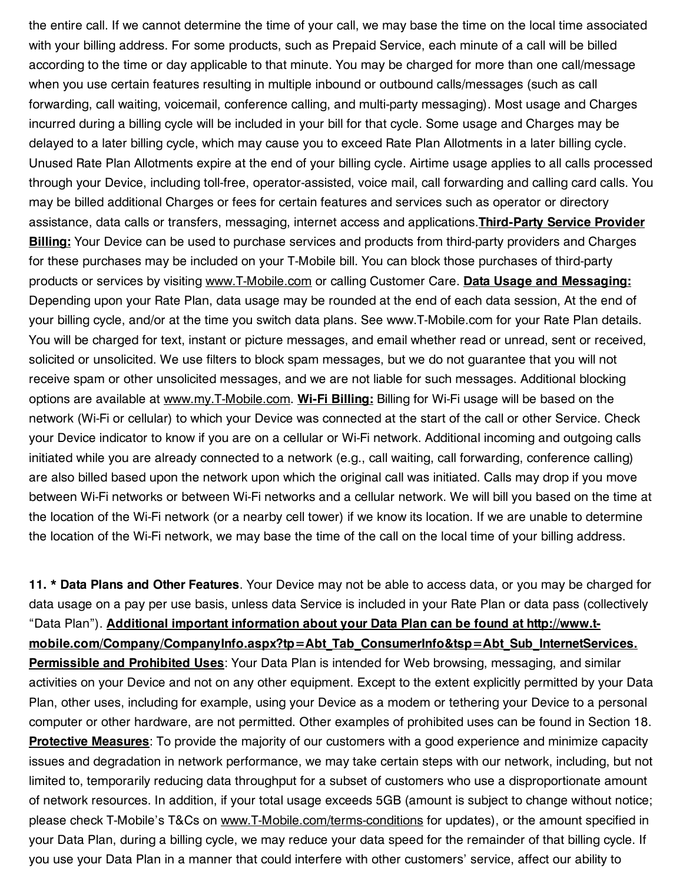the entire call. If we cannot determine the time of your call, we may base the time on the local time associated with your billing address. For some products, such as Prepaid Service, each minute of a call will be billed according to the time or day applicable to that minute. You may be charged for more than one call/message when you use certain features resulting in multiple inbound or outbound calls/messages (such as call forwarding, call waiting, voicemail, conference calling, and multi-party messaging). Most usage and Charges incurred during a billing cycle will be included in your bill for that cycle. Some usage and Charges may be delayed to a later billing cycle, which may cause you to exceed Rate Plan Allotments in a later billing cycle. Unused Rate Plan Allotments expire at the end of your billing cycle. Airtime usage applies to all calls processed through your Device, including toll-free, operator-assisted, voice mail, call forwarding and calling card calls. You may be billed additional Charges or fees for certain features and services such as operator or directory assistance, data calls or transfers, messaging, internet access and applications.**Third-Party Service Provider Billing:** Your Device can be used to purchase services and products from third-party providers and Charges for these purchases may be included on your T-Mobile bill. You can block those purchases of third-party products or services by visiting www.T-Mobile.com or calling Customer Care. **Data Usage and Messaging:** Depending upon your Rate Plan, data usage may be rounded at the end of each data session, At the end of your billing cycle, and/or at the time you switch data plans. See www.T-Mobile.com for your Rate Plan details. You will be charged for text, instant or picture messages, and email whether read or unread, sent or received, solicited or unsolicited. We use filters to block spam messages, but we do not guarantee that you will not receive spam or other unsolicited messages, and we are not liable for such messages. Additional blocking options are available at www.my.T-Mobile.com. **Wi-Fi Billing:** Billing for Wi-Fi usage will be based on the network (Wi-Fi or cellular) to which your Device was connected at the start of the call or other Service. Check your Device indicator to know if you are on a cellular or Wi-Fi network. Additional incoming and outgoing calls initiated while you are already connected to a network (e.g., call waiting, call forwarding, conference calling) are also billed based upon the network upon which the original call was initiated. Calls may drop if you move between Wi-Fi networks or between Wi-Fi networks and a cellular network. We will bill you based on the time at the location of the Wi-Fi network (or a nearby cell tower) if we know its location. If we are unable to determine the location of the Wi-Fi network, we may base the time of the call on the local time of your billing address.

**11. \* Data Plans and Other Features**. Your Device may not be able to access data, or you may be charged for data usage on a pay per use basis, unless data Service is included in your Rate Plan or data pass (collectively "Data Plan"). **Additional important information about your Data Plan can be found at http://www.t**mobile.com/Company/CompanyInfo.aspx?tp=Abt\_Tab\_ConsumerInfo&tsp=Abt\_Sub\_InternetServices. **Permissible and Prohibited Uses**: Your Data Plan is intended for Web browsing, messaging, and similar activities on your Device and not on any other equipment. Except to the extent explicitly permitted by your Data Plan, other uses, including for example, using your Device as a modem or tethering your Device to a personal computer or other hardware, are not permitted. Other examples of prohibited uses can be found in Section 18. **Protective Measures**: To provide the majority of our customers with a good experience and minimize capacity issues and degradation in network performance, we may take certain steps with our network, including, but not limited to, temporarily reducing data throughput for a subset of customers who use a disproportionate amount of network resources. In addition, if your total usage exceeds 5GB (amount is subject to change without notice; please check T-Mobile's T&Cs on www.T-Mobile.com/terms-conditions for updates), or the amount specified in your Data Plan, during a billing cycle, we may reduce your data speed for the remainder of that billing cycle. If you use your Data Plan in a manner that could interfere with other customers' service, affect our ability to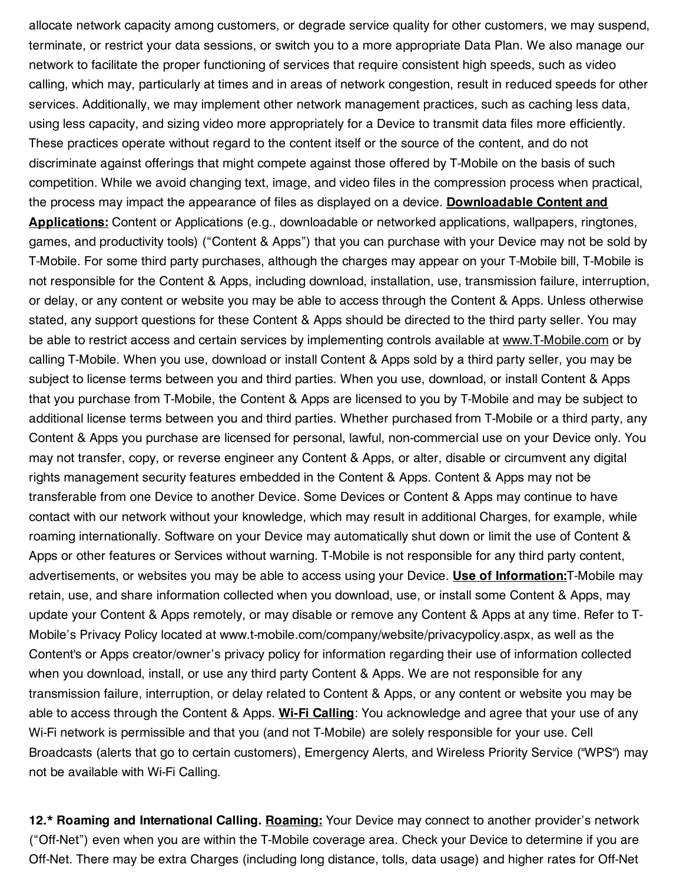allocate network capacity among customers, or degrade service quality for other customers, we may suspend, terminate, or restrict your data sessions, or switch you to a more appropriate Data Plan. We also manage our network to facilitate the proper functioning of services that require consistent high speeds, such as video calling, which may, particularly at times and in areas of network congestion, result in reduced speeds for other services. Additionally, we may implement other network management practices, such as caching less data, using less capacity, and sizing video more appropriately for a Device to transmit data files more efficiently. These practices operate without regard to the content itself or the source of the content, and do not discriminate against offerings that might compete against those offered by T-Mobile on the basis of such competition. While we avoid changing text, image, and video files in the compression process when practical, the process may impact the appearance of files as displayed on a device. **Downloadable Content and Applications:** Content or Applications (e.g., downloadable or networked applications, wallpapers, ringtones, games, and productivity tools) ("Content & Apps") that you can purchase with your Device may not be sold by T-Mobile. For some third party purchases, although the charges may appear on your T-Mobile bill, T-Mobile is not responsible for the Content & Apps, including download, installation, use, transmission failure, interruption, or delay, or any content or website you may be able to access through the Content & Apps. Unless otherwise stated, any support questions for these Content & Apps should be directed to the third party seller. You may be able to restrict access and certain services by implementing controls available at www.T-Mobile.com or by calling T-Mobile. When you use, download or install Content & Apps sold by a third party seller, you may be subject to license terms between you and third parties. When you use, download, or install Content & Apps that you purchase from T-Mobile, the Content & Apps are licensed to you by T-Mobile and may be subject to additional license terms between you and third parties. Whether purchased from T-Mobile or a third party, any Content & Apps you purchase are licensed for personal, lawful, non-commercial use on your Device only. You may not transfer, copy, or reverse engineer any Content & Apps, or alter, disable or circumvent any digital rights management security features embedded in the Content & Apps. Content & Apps may not be transferable from one Device to another Device. Some Devices or Content & Apps may continue to have contact with our network without your knowledge, which may result in additional Charges, for example, while roaming internationally. Software on your Device may automatically shut down or limit the use of Content & Apps or other features or Services without warning. T-Mobile is not responsible for any third party content, advertisements, or websites you may be able to access using your Device. **Use of Information:**T-Mobile may retain, use, and share information collected when you download, use, or install some Content & Apps, may update your Content & Apps remotely, or may disable or remove any Content & Apps at any time. Refer to T-Mobile's Privacy Policy located at www.t-mobile.com/company/website/privacypolicy.aspx, as well as the Content's or Apps creator/owner's privacy policy for information regarding their use of information collected when you download, install, or use any third party Content & Apps. We are not responsible for any transmission failure, interruption, or delay related to Content & Apps, or any content or website you may be able to access through the Content & Apps. **Wi-Fi Calling**: You acknowledge and agree that your use of any Wi-Fi network is permissible and that you (and not T-Mobile) are solely responsible for your use. Cell Broadcasts (alerts that go to certain customers), Emergency Alerts, and Wireless Priority Service ("WPS") may not be available with Wi-Fi Calling.

**12.\* Roaming and International Calling. Roaming:** Your Device may connect to another provider's network ("Off-Net") even when you are within the T-Mobile coverage area. Check your Device to determine if you are Off-Net. There may be extra Charges (including long distance, tolls, data usage) and higher rates for Off-Net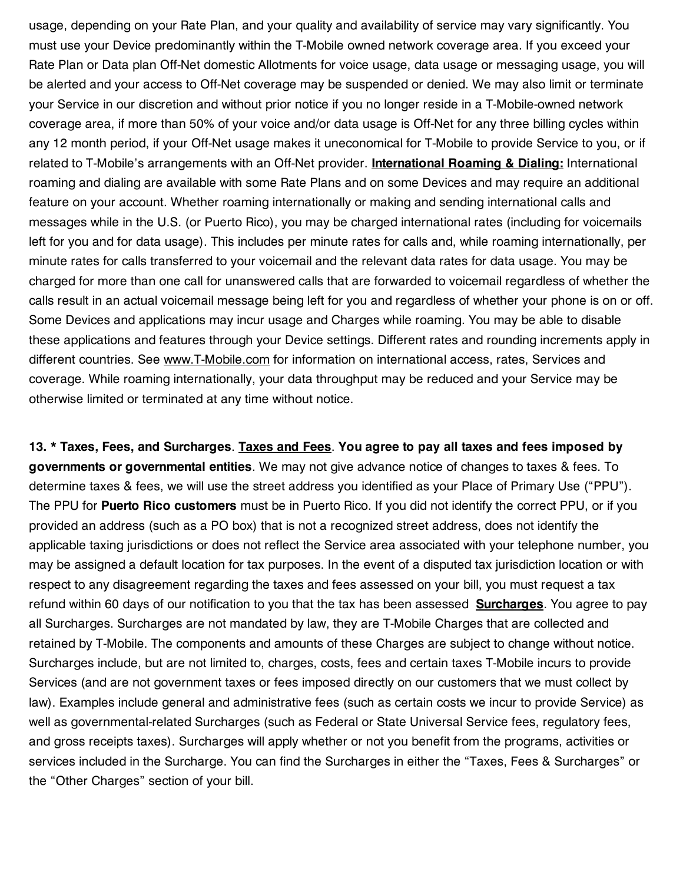usage, depending on your Rate Plan, and your quality and availability of service may vary significantly. You must use your Device predominantly within the T-Mobile owned network coverage area. If you exceed your Rate Plan or Data plan Off-Net domestic Allotments for voice usage, data usage or messaging usage, you will be alerted and your access to Off-Net coverage may be suspended or denied. We may also limit or terminate your Service in our discretion and without prior notice if you no longer reside in a T-Mobile-owned network coverage area, if more than 50% of your voice and/or data usage is Off-Net for any three billing cycles within any 12 month period, if your Off-Net usage makes it uneconomical for T-Mobile to provide Service to you, or if related to T-Mobile's arrangements with an Off-Net provider. **International Roaming & Dialing:** International roaming and dialing are available with some Rate Plans and on some Devices and may require an additional feature on your account. Whether roaming internationally or making and sending international calls and messages while in the U.S. (or Puerto Rico), you may be charged international rates (including for voicemails left for you and for data usage). This includes per minute rates for calls and, while roaming internationally, per minute rates for calls transferred to your voicemail and the relevant data rates for data usage. You may be charged for more than one call for unanswered calls that are forwarded to voicemail regardless of whether the calls result in an actual voicemail message being left for you and regardless of whether your phone is on or off. Some Devices and applications may incur usage and Charges while roaming. You may be able to disable these applications and features through your Device settings. Different rates and rounding increments apply in different countries. See www.T-Mobile.com for information on international access, rates, Services and coverage. While roaming internationally, your data throughput may be reduced and your Service may be otherwise limited or terminated at any time without notice.

13. \* Taxes, Fees, and Surcharges. Taxes and Fees. You agree to pay all taxes and fees imposed by **governments or governmental entities**. We may not give advance notice of changes to taxes & fees. To determine taxes & fees, we will use the street address you identified as your Place of Primary Use ("PPU"). The PPU for **Puerto Rico customers** must be in Puerto Rico. If you did not identify the correct PPU, or if you provided an address (such as a PO box) that is not a recognized street address, does not identify the applicable taxing jurisdictions or does not reflect the Service area associated with your telephone number, you may be assigned a default location for tax purposes. In the event of a disputed tax jurisdiction location or with respect to any disagreement regarding the taxes and fees assessed on your bill, you must request a tax refund within 60 days of our notification to you that the tax has been assessed **Surcharges**. You agree to pay all Surcharges. Surcharges are not mandated by law, they are T-Mobile Charges that are collected and retained by T-Mobile. The components and amounts of these Charges are subject to change without notice. Surcharges include, but are not limited to, charges, costs, fees and certain taxes T-Mobile incurs to provide Services (and are not government taxes or fees imposed directly on our customers that we must collect by law). Examples include general and administrative fees (such as certain costs we incur to provide Service) as well as governmental-related Surcharges (such as Federal or State Universal Service fees, regulatory fees, and gross receipts taxes). Surcharges will apply whether or not you benefit from the programs, activities or services included in the Surcharge. You can find the Surcharges in either the "Taxes, Fees & Surcharges" or the "Other Charges" section of your bill.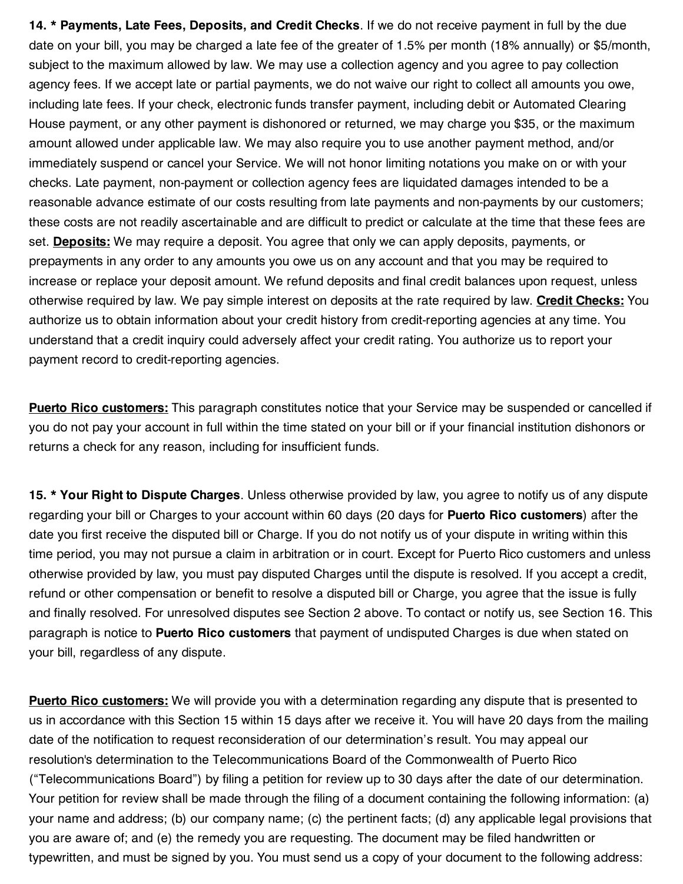**14. \* Payments, Late Fees, Deposits, and Credit Checks**. If we do not receive payment in full by the due date on your bill, you may be charged a late fee of the greater of 1.5% per month (18% annually) or \$5/month, subject to the maximum allowed by law. We may use a collection agency and you agree to pay collection agency fees. If we accept late or partial payments, we do not waive our right to collect all amounts you owe, including late fees. If your check, electronic funds transfer payment, including debit or Automated Clearing House payment, or any other payment is dishonored or returned, we may charge you \$35, or the maximum amount allowed under applicable law. We may also require you to use another payment method, and/or immediately suspend or cancel your Service. We will not honor limiting notations you make on or with your checks. Late payment, non-payment or collection agency fees are liquidated damages intended to be a reasonable advance estimate of our costs resulting from late payments and non-payments by our customers; these costs are not readily ascertainable and are difficult to predict or calculate at the time that these fees are set. **Deposits:** We may require a deposit. You agree that only we can apply deposits, payments, or prepayments in any order to any amounts you owe us on any account and that you may be required to increase or replace your deposit amount. We refund deposits and final credit balances upon request, unless otherwise required by law. We pay simple interest on deposits at the rate required by law. **Credit Checks:** You authorize us to obtain information about your credit history from credit-reporting agencies at any time. You understand that a credit inquiry could adversely affect your credit rating. You authorize us to report your payment record to credit-reporting agencies.

**Puerto Rico customers:** This paragraph constitutes notice that your Service may be suspended or cancelled if you do not pay your account in full within the time stated on your bill or if your financial institution dishonors or returns a check for any reason, including for insufficient funds.

**15. \* Your Right to Dispute Charges**. Unless otherwise provided by law, you agree to notify us of any dispute regarding your bill or Charges to your account within 60 days (20 days for **Puerto Rico customers**) after the date you first receive the disputed bill or Charge. If you do not notify us of your dispute in writing within this time period, you may not pursue a claim in arbitration or in court. Except for Puerto Rico customers and unless otherwise provided by law, you must pay disputed Charges until the dispute is resolved. If you accept a credit, refund or other compensation or benefit to resolve a disputed bill or Charge, you agree that the issue is fully and finally resolved. For unresolved disputes see Section 2 above. To contact or notify us, see Section 16. This paragraph is notice to **Puerto Rico customers** that payment of undisputed Charges is due when stated on your bill, regardless of any dispute.

**Puerto Rico customers:** We will provide you with a determination regarding any dispute that is presented to us in accordance with this Section 15 within 15 days after we receive it. You will have 20 days from the mailing date of the notification to request reconsideration of our determination's result. You may appeal our resolution's determination to the Telecommunications Board of the Commonwealth of Puerto Rico ("Telecommunications Board") by filing a petition for review up to 30 days after the date of our determination. Your petition for review shall be made through the filing of a document containing the following information: (a) your name and address; (b) our company name; (c) the pertinent facts; (d) any applicable legal provisions that you are aware of; and (e) the remedy you are requesting. The document may be filed handwritten or typewritten, and must be signed by you. You must send us a copy of your document to the following address: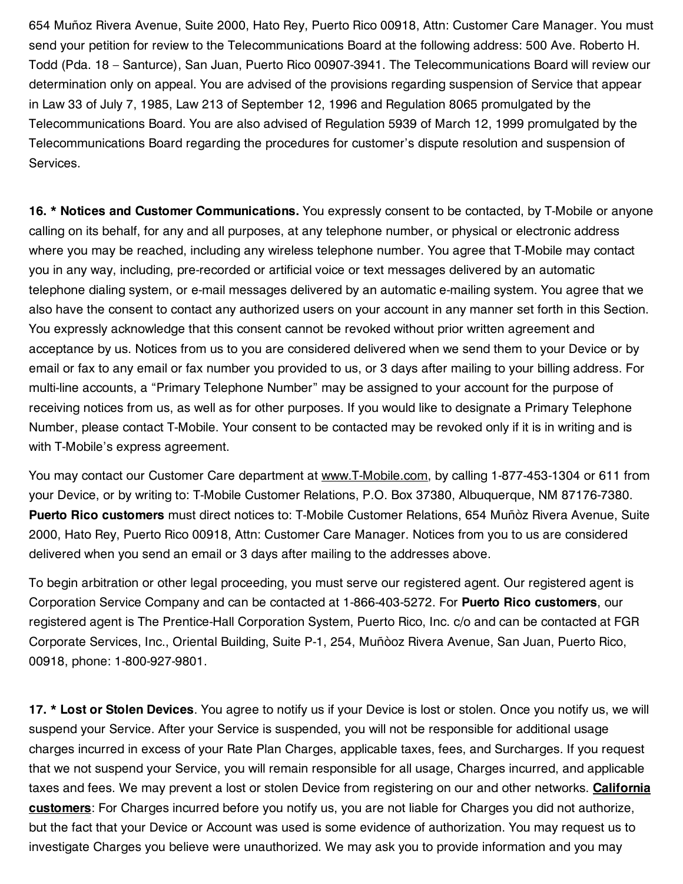654 Muñoz Rivera Avenue, Suite 2000, Hato Rey, Puerto Rico 00918, Attn: Customer Care Manager. You must send your petition for review to the Telecommunications Board at the following address: 500 Ave. Roberto H. Todd (Pda. 18 – Santurce), San Juan, Puerto Rico 00907-3941. The Telecommunications Board will review our determination only on appeal. You are advised of the provisions regarding suspension of Service that appear in Law 33 of July 7, 1985, Law 213 of September 12, 1996 and Regulation 8065 promulgated by the Telecommunications Board. You are also advised of Regulation 5939 of March 12, 1999 promulgated by the Telecommunications Board regarding the procedures for customer's dispute resolution and suspension of Services.

**16. \* Notices and Customer Communications.** You expressly consent to be contacted, by T-Mobile or anyone calling on its behalf, for any and all purposes, at any telephone number, or physical or electronic address where you may be reached, including any wireless telephone number. You agree that T-Mobile may contact you in any way, including, pre-recorded or artificial voice or text messages delivered by an automatic telephone dialing system, or e-mail messages delivered by an automatic e-mailing system. You agree that we also have the consent to contact any authorized users on your account in any manner set forth in this Section. You expressly acknowledge that this consent cannot be revoked without prior written agreement and acceptance by us. Notices from us to you are considered delivered when we send them to your Device or by email or fax to any email or fax number you provided to us, or 3 days after mailing to your billing address. For multi-line accounts, a "Primary Telephone Number" may be assigned to your account for the purpose of receiving notices from us, as well as for other purposes. If you would like to designate a Primary Telephone Number, please contact T-Mobile. Your consent to be contacted may be revoked only if it is in writing and is with T-Mobile's express agreement.

You may contact our Customer Care department at www.T-Mobile.com, by calling 1-877-453-1304 or 611 from your Device, or by writing to: T-Mobile Customer Relations, P.O. Box 37380, Albuquerque, NM 87176-7380. **Puerto Rico customers** must direct notices to: T-Mobile Customer Relations, 654 Muñòz Rivera Avenue, Suite 2000, Hato Rey, Puerto Rico 00918, Attn: Customer Care Manager. Notices from you to us are considered delivered when you send an email or 3 days after mailing to the addresses above.

To begin arbitration or other legal proceeding, you must serve our registered agent. Our registered agent is Corporation Service Company and can be contacted at 1-866-403-5272. For **Puerto Rico customers**, our registered agent is The Prentice-Hall Corporation System, Puerto Rico, Inc. c/o and can be contacted at FGR Corporate Services, Inc., Oriental Building, Suite P-1, 254, Muñòoz Rivera Avenue, San Juan, Puerto Rico, 00918, phone: 1-800-927-9801.

**17. \* Lost or Stolen Devices**. You agree to notify us if your Device is lost or stolen. Once you notify us, we will suspend your Service. After your Service is suspended, you will not be responsible for additional usage charges incurred in excess of your Rate Plan Charges, applicable taxes, fees, and Surcharges. If you request that we not suspend your Service, you will remain responsible for all usage, Charges incurred, and applicable taxes and fees. We may prevent a lost or stolen Device from registering on our and other networks. **California customers**: For Charges incurred before you notify us, you are not liable for Charges you did not authorize, but the fact that your Device or Account was used is some evidence of authorization. You may request us to investigate Charges you believe were unauthorized. We may ask you to provide information and you may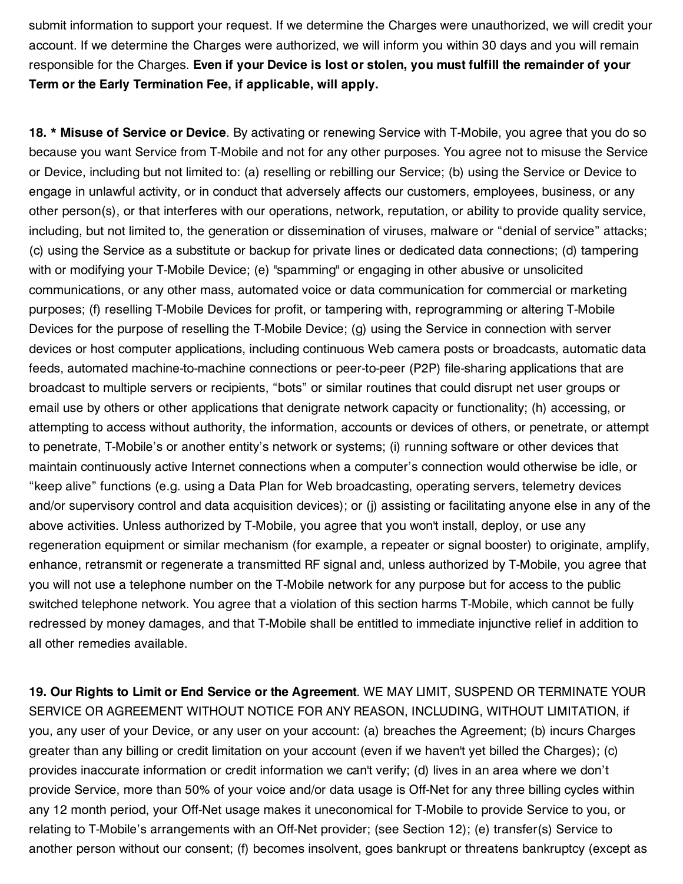submit information to support your request. If we determine the Charges were unauthorized, we will credit your account. If we determine the Charges were authorized, we will inform you within 30 days and you will remain responsible for the Charges. **Even if your Device is lost or stolen, you must fulfill the remainder of your Term or the Early Termination Fee, if applicable, will apply.**

**18. \* Misuse of Service or Device**. By activating or renewing Service with T-Mobile, you agree that you do so because you want Service from T-Mobile and not for any other purposes. You agree not to misuse the Service or Device, including but not limited to: (a) reselling or rebilling our Service; (b) using the Service or Device to engage in unlawful activity, or in conduct that adversely affects our customers, employees, business, or any other person(s), or that interferes with our operations, network, reputation, or ability to provide quality service, including, but not limited to, the generation or dissemination of viruses, malware or "denial of service" attacks; (c) using the Service as a substitute or backup for private lines or dedicated data connections; (d) tampering with or modifying your T-Mobile Device; (e) "spamming" or engaging in other abusive or unsolicited communications, or any other mass, automated voice or data communication for commercial or marketing purposes; (f) reselling T-Mobile Devices for profit, or tampering with, reprogramming or altering T-Mobile Devices for the purpose of reselling the T-Mobile Device; (g) using the Service in connection with server devices or host computer applications, including continuous Web camera posts or broadcasts, automatic data feeds, automated machine-to-machine connections or peer-to-peer (P2P) file-sharing applications that are broadcast to multiple servers or recipients, "bots" or similar routines that could disrupt net user groups or email use by others or other applications that denigrate network capacity or functionality; (h) accessing, or attempting to access without authority, the information, accounts or devices of others, or penetrate, or attempt to penetrate, T-Mobile's or another entity's network or systems; (i) running software or other devices that maintain continuously active Internet connections when a computer's connection would otherwise be idle, or "keep alive" functions (e.g. using a Data Plan for Web broadcasting, operating servers, telemetry devices and/or supervisory control and data acquisition devices); or (j) assisting or facilitating anyone else in any of the above activities. Unless authorized by T-Mobile, you agree that you won't install, deploy, or use any regeneration equipment or similar mechanism (for example, a repeater or signal booster) to originate, amplify, enhance, retransmit or regenerate a transmitted RF signal and, unless authorized by T-Mobile, you agree that you will not use a telephone number on the T-Mobile network for any purpose but for access to the public switched telephone network. You agree that a violation of this section harms T-Mobile, which cannot be fully redressed by money damages, and that T-Mobile shall be entitled to immediate injunctive relief in addition to all other remedies available.

**19. Our Rights to Limit or End Service or the Agreement**. WE MAY LIMIT, SUSPEND OR TERMINATE YOUR SERVICE OR AGREEMENT WITHOUT NOTICE FOR ANY REASON, INCLUDING, WITHOUT LIMITATION, if you, any user of your Device, or any user on your account: (a) breaches the Agreement; (b) incurs Charges greater than any billing or credit limitation on your account (even if we haven't yet billed the Charges); (c) provides inaccurate information or credit information we can't verify; (d) lives in an area where we don't provide Service, more than 50% of your voice and/or data usage is Off-Net for any three billing cycles within any 12 month period, your Off-Net usage makes it uneconomical for T-Mobile to provide Service to you, or relating to T-Mobile's arrangements with an Off-Net provider; (see Section 12); (e) transfer(s) Service to another person without our consent; (f) becomes insolvent, goes bankrupt or threatens bankruptcy (except as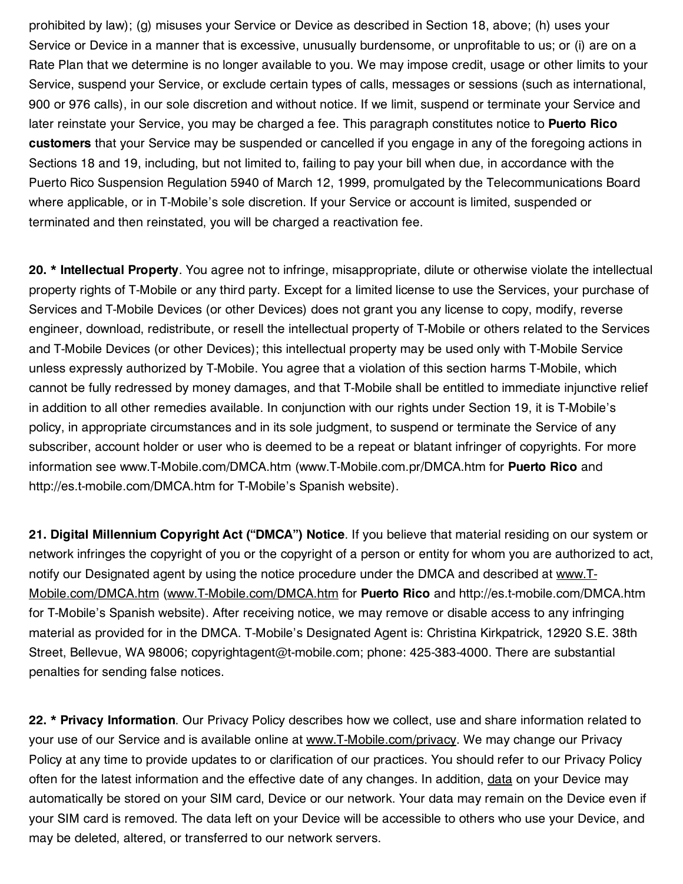prohibited by law); (g) misuses your Service or Device as described in Section 18, above; (h) uses your Service or Device in a manner that is excessive, unusually burdensome, or unprofitable to us; or (i) are on a Rate Plan that we determine is no longer available to you. We may impose credit, usage or other limits to your Service, suspend your Service, or exclude certain types of calls, messages or sessions (such as international, 900 or 976 calls), in our sole discretion and without notice. If we limit, suspend or terminate your Service and later reinstate your Service, you may be charged a fee. This paragraph constitutes notice to **Puerto Rico customers** that your Service may be suspended or cancelled if you engage in any of the foregoing actions in Sections 18 and 19, including, but not limited to, failing to pay your bill when due, in accordance with the Puerto Rico Suspension Regulation 5940 of March 12, 1999, promulgated by the Telecommunications Board where applicable, or in T-Mobile's sole discretion. If your Service or account is limited, suspended or terminated and then reinstated, you will be charged a reactivation fee.

**20. \* Intellectual Property**. You agree not to infringe, misappropriate, dilute or otherwise violate the intellectual property rights of T-Mobile or any third party. Except for a limited license to use the Services, your purchase of Services and T-Mobile Devices (or other Devices) does not grant you any license to copy, modify, reverse engineer, download, redistribute, or resell the intellectual property of T-Mobile or others related to the Services and T-Mobile Devices (or other Devices); this intellectual property may be used only with T-Mobile Service unless expressly authorized by T-Mobile. You agree that a violation of this section harms T-Mobile, which cannot be fully redressed by money damages, and that T-Mobile shall be entitled to immediate injunctive relief in addition to all other remedies available. In conjunction with our rights under Section 19, it is T-Mobile's policy, in appropriate circumstances and in its sole judgment, to suspend or terminate the Service of any subscriber, account holder or user who is deemed to be a repeat or blatant infringer of copyrights. For more information see www.T-Mobile.com/DMCA.htm (www.T-Mobile.com.pr/DMCA.htm for **Puerto Rico** and http://es.t-mobile.com/DMCA.htm for T-Mobile's Spanish website).

**21. Digital Millennium Copyright Act ("DMCA") Notice**. If you believe that material residing on our system or network infringes the copyright of you or the copyright of a person or entity for whom you are authorized to act, notify our Designated agent by using the notice procedure under the DMCA and described at www.T-Mobile.com/DMCA.htm (www.T-Mobile.com/DMCA.htm for **Puerto Rico** and http://es.t-mobile.com/DMCA.htm for T-Mobile's Spanish website). After receiving notice, we may remove or disable access to any infringing material as provided for in the DMCA. T-Mobile's Designated Agent is: Christina Kirkpatrick, 12920 S.E. 38th Street, Bellevue, WA 98006; copyrightagent@t-mobile.com; phone: 425-383-4000. There are substantial penalties for sending false notices.

**22. \* Privacy Information**. Our Privacy Policy describes how we collect, use and share information related to your use of our Service and is available online at www.T-Mobile.com/privacy. We may change our Privacy Policy at any time to provide updates to or clarification of our practices. You should refer to our Privacy Policy often for the latest information and the effective date of any changes. In addition, data on your Device may automatically be stored on your SIM card, Device or our network. Your data may remain on the Device even if your SIM card is removed. The data left on your Device will be accessible to others who use your Device, and may be deleted, altered, or transferred to our network servers.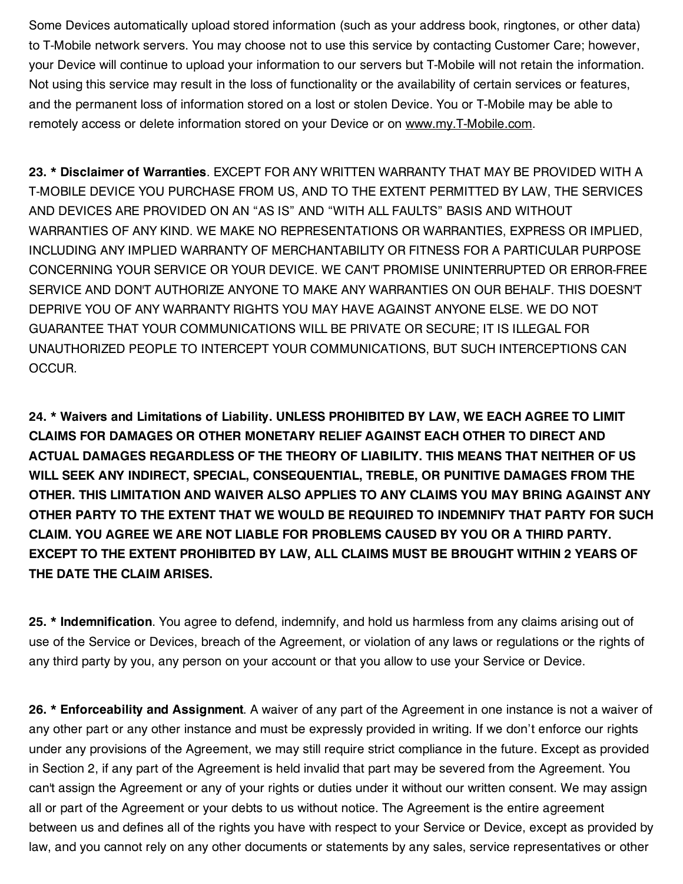Some Devices automatically upload stored information (such as your address book, ringtones, or other data) to T-Mobile network servers. You may choose not to use this service by contacting Customer Care; however, your Device will continue to upload your information to our servers but T-Mobile will not retain the information. Not using this service may result in the loss of functionality or the availability of certain services or features, and the permanent loss of information stored on a lost or stolen Device. You or T-Mobile may be able to remotely access or delete information stored on your Device or on www.my.T-Mobile.com.

**23. \* Disclaimer of Warranties**. EXCEPT FOR ANY WRITTEN WARRANTY THAT MAY BE PROVIDED WITH A T-MOBILE DEVICE YOU PURCHASE FROM US, AND TO THE EXTENT PERMITTED BY LAW, THE SERVICES AND DEVICES ARE PROVIDED ON AN "AS IS" AND "WITH ALL FAULTS" BASIS AND WITHOUT WARRANTIES OF ANY KIND. WE MAKE NO REPRESENTATIONS OR WARRANTIES, EXPRESS OR IMPLIED, INCLUDING ANY IMPLIED WARRANTY OF MERCHANTABILITY OR FITNESS FOR A PARTICULAR PURPOSE CONCERNING YOUR SERVICE OR YOUR DEVICE. WE CAN'T PROMISE UNINTERRUPTED OR ERROR-FREE SERVICE AND DON'T AUTHORIZE ANYONE TO MAKE ANY WARRANTIES ON OUR BEHALF. THIS DOESN'T DEPRIVE YOU OF ANY WARRANTY RIGHTS YOU MAY HAVE AGAINST ANYONE ELSE. WE DO NOT GUARANTEE THAT YOUR COMMUNICATIONS WILL BE PRIVATE OR SECURE; IT IS ILLEGAL FOR UNAUTHORIZED PEOPLE TO INTERCEPT YOUR COMMUNICATIONS, BUT SUCH INTERCEPTIONS CAN OCCUR.

**24. \* Waivers and Limitations of Liability. UNLESS PROHIBITED BY LAW, WE EACH AGREE TO LIMIT CLAIMS FOR DAMAGES OR OTHER MONETARY RELIEF AGAINST EACH OTHER TO DIRECT AND ACTUAL DAMAGES REGARDLESS OF THE THEORY OF LIABILITY. THIS MEANS THAT NEITHER OF US WILL SEEK ANY INDIRECT, SPECIAL, CONSEQUENTIAL, TREBLE, OR PUNITIVE DAMAGES FROM THE OTHER. THIS LIMITATION AND WAIVER ALSO APPLIES TO ANY CLAIMS YOU MAY BRING AGAINST ANY OTHER PARTY TO THE EXTENT THAT WE WOULD BE REQUIRED TO INDEMNIFY THAT PARTY FOR SUCH CLAIM. YOU AGREE WE ARE NOT LIABLE FOR PROBLEMS CAUSED BY YOU OR A THIRD PARTY. EXCEPT TO THE EXTENT PROHIBITED BY LAW, ALL CLAIMS MUST BE BROUGHT WITHIN 2 YEARS OF THE DATE THE CLAIM ARISES.**

**25. \* Indemnification**. You agree to defend, indemnify, and hold us harmless from any claims arising out of use of the Service or Devices, breach of the Agreement, or violation of any laws or regulations or the rights of any third party by you, any person on your account or that you allow to use your Service or Device.

**26. \* Enforceability and Assignment**. A waiver of any part of the Agreement in one instance is not a waiver of any other part or any other instance and must be expressly provided in writing. If we don't enforce our rights under any provisions of the Agreement, we may still require strict compliance in the future. Except as provided in Section 2, if any part of the Agreement is held invalid that part may be severed from the Agreement. You can't assign the Agreement or any of your rights or duties under it without our written consent. We may assign all or part of the Agreement or your debts to us without notice. The Agreement is the entire agreement between us and defines all of the rights you have with respect to your Service or Device, except as provided by law, and you cannot rely on any other documents or statements by any sales, service representatives or other